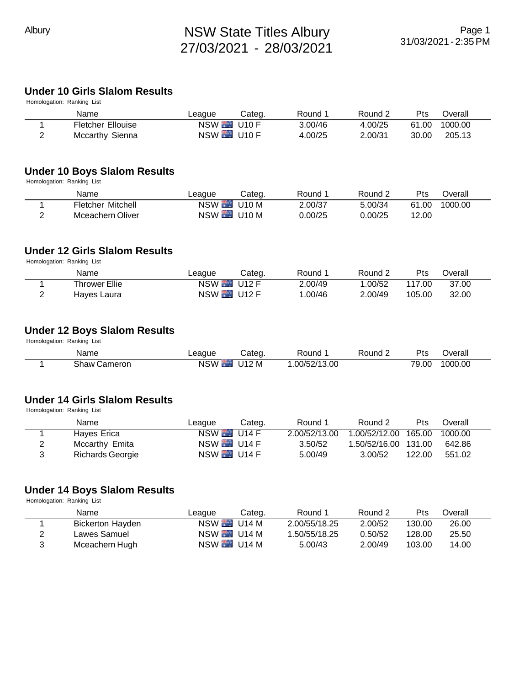### **Under 10 Girls Slalom Results**

| Pts   | Overall |
|-------|---------|
| 61.00 | 1000.00 |
| 30.00 | 205.13  |
|       |         |

#### **Under 10 Boys Slalom Results**

Homologation: Ranking List

| Name                     | ∟eague           | Categ. | Round 1 | Round 2 | Pts   | ⊃verall |
|--------------------------|------------------|--------|---------|---------|-------|---------|
| <b>Fletcher Mitchell</b> | <b>NSW U10 M</b> |        | 2.00/37 | 5.00/34 | 61.00 | 1000.00 |
| Mceachern Oliver         | <b>NSW</b> U10 M |        | 0.00/25 | 0.00/25 | 12.00 |         |

#### **Under 12 Girls Slalom Results**

Homologation: Ranking List

|   | Name          | League       | Categ. | Round 1 | Round 2 | Pts    | ⊃verall |  |
|---|---------------|--------------|--------|---------|---------|--------|---------|--|
|   | Thrower Ellie | $NSW$ $U12F$ |        | 2.00/49 | .00/52  | 117.00 | 37.00   |  |
| ∸ | Hayes Laura   | NSW $U12$ F  |        | .00/46  | 2.00/49 | 105.00 | 32.00   |  |

### **Under 12 Boys Slalom Results**

Homologation: Ranking List

| Name            | eague.     | .ateq | Round        | Round | D+o<br>ีเอ                       | <b>)</b> verall |  |
|-----------------|------------|-------|--------------|-------|----------------------------------|-----------------|--|
| Shaw<br>Cameron | <b>NSW</b> | J12M  | .00/52/13.00 |       | $\overline{\phantom{a}}$<br>9.00 | 1000.00         |  |

#### **Under 14 Girls Slalom Results**

Homologation: Ranking List

| Name             | League       | Categ. | Round 1       | Round 2              | <b>Pts</b> | Overall |
|------------------|--------------|--------|---------------|----------------------|------------|---------|
| Haves Erica      | $NSW$ $U14F$ |        | 2.00/52/13.00 | 1.00/52/12.00 165.00 |            | 1000.00 |
| Mccarthy Emita   | $NSW$ $U14F$ |        | 3.50/52       | 1.50/52/16.00 131.00 |            | 642.86  |
| Richards Georgie | $NSW$ $U14F$ |        | 5.00/49       | 3.00/52              | 122.00     | 551.02  |

## **Under 14 Boys Slalom Results**

Homologation: Ranking List

|   | Name             | League                     | Categ. | Round 1       | Round 2 | Pts    | Overall |  |
|---|------------------|----------------------------|--------|---------------|---------|--------|---------|--|
|   | Bickerton Hayden | $NSW$ $\blacksquare$ U14 M |        | 2.00/55/18.25 | 2.00/52 | 130.00 | 26.00   |  |
|   | Lawes Samuel     | $NSW$ $\blacksquare$ U14 M |        | 1.50/55/18.25 | 0.50/52 | 128.00 | 25.50   |  |
| 3 | Mceachern Hugh   | <b>NSW</b> U14 M           |        | 5.00/43       | 2.00/49 | 103.00 | 14.00   |  |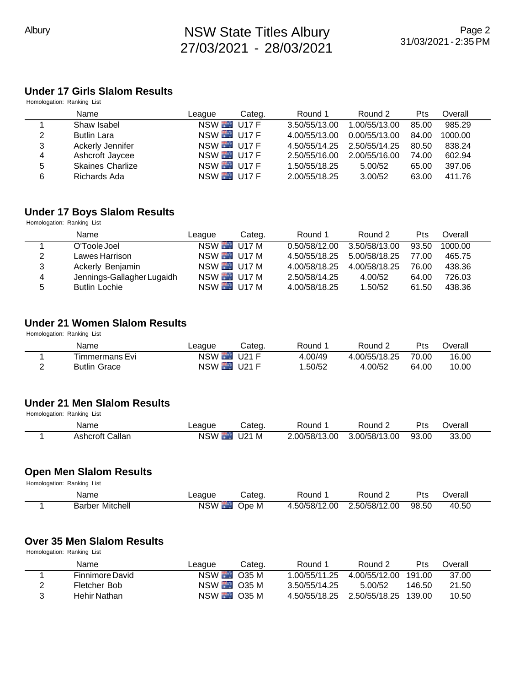#### **Under 17 Girls Slalom Results** Homologation: Ranking List

| <b>Tromotogation:</b> Kanking List |                         |                  |        |               |               |            |         |
|------------------------------------|-------------------------|------------------|--------|---------------|---------------|------------|---------|
|                                    | Name                    | League           | Categ. | Round 1       | Round 2       | <b>Pts</b> | Overall |
|                                    | Shaw Isabel             | NSW U17 F        |        | 3.50/55/13.00 | 1.00/55/13.00 | 85.00      | 985.29  |
| 2                                  | <b>Butlin Lara</b>      | <b>NSW U17 F</b> |        | 4.00/55/13.00 | 0.00/55/13.00 | 84.00      | 1000.00 |
| 3                                  | Ackerly Jennifer        | $NSW$ $U17F$     |        | 4.50/55/14.25 | 2.50/55/14.25 | 80.50      | 838.24  |
| 4                                  | Ashcroft Jaycee         | NSW U17 F        |        | 2.50/55/16.00 | 2.00/55/16.00 | 74.00      | 602.94  |
| 5                                  | <b>Skaines Charlize</b> | NSW $U17F$       |        | 1.50/55/18.25 | 5.00/52       | 65.00      | 397.06  |
| 6                                  | Richards Ada            | NSW U17 F        |        | 2.00/55/18.25 | 3.00/52       | 63.00      | 411.76  |
|                                    |                         |                  |        |               |               |            |         |

# **Under 17 Boys Slalom Results**

Homologation: Ranking List

|   | Name                       | League           | Categ. | Round 1       | Round 2       | <b>Pts</b> | Overall |  |
|---|----------------------------|------------------|--------|---------------|---------------|------------|---------|--|
|   | O'Toole Joel               | $NSW$ U17 M      |        | 0.50/58/12.00 | 3.50/58/13.00 | 93.50      | 1000.00 |  |
| 2 | Lawes Harrison             | <b>NSW U17 M</b> |        | 4.50/55/18.25 | 5.00/58/18.25 | 77.00      | 465.75  |  |
| 3 | Ackerly Benjamin           | <b>NSW U17 M</b> |        | 4.00/58/18.25 | 4.00/58/18.25 | 76.00      | 438.36  |  |
| 4 | Jennings-Gallagher Lugaidh | $NSW$ U17 M      |        | 2.50/58/14.25 | 4.00/52       | 64.00      | 726.03  |  |
| 5 | <b>Butlin Lochie</b>       | <b>NSW U17 M</b> |        | 4.00/58/18.25 | 1.50/52       | 61.50      | 438.36  |  |

#### **Under 21 Women Slalom Results**

Homologation: Ranking List

| Name                | League           | Categ. | Round 1 | Round 2       | Pts   | <b>Jverall</b> |
|---------------------|------------------|--------|---------|---------------|-------|----------------|
| Timmermans Evi      | NSW U21 F        |        | 4.00/49 | 4.00/55/18.25 | 70.00 | 16.00          |
| <b>Butlin Grace</b> | <b>NSW U21 F</b> |        | .50/52  | 4.00/52       | 64.00 | 10.00          |

#### **Under 21 Men Slalom Results** Homologation: Ranking List

| Tioniologation. Isamsing List |                 |              |        |               |               |       |         |  |
|-------------------------------|-----------------|--------------|--------|---------------|---------------|-------|---------|--|
|                               | Name            | League       | Categ. | Round 1       | Round 2       | Pts   | )verall |  |
|                               | Ashcroft Callan | $NSW$ $U21M$ |        | 2.00/58/13.00 | 3.00/58/13.00 | 93.00 | 33.00   |  |

#### **Open Men Slalom Results**

Homologation: Ranking List

| Name                   | ∟eaque           | Cateɑ. | Round 1 | Round 2                     | Pts   | ⊃verall |
|------------------------|------------------|--------|---------|-----------------------------|-------|---------|
| <b>Barber Mitchell</b> | NSW <sup>1</sup> | Ope M  |         | 4.50/58/12.00 2.50/58/12.00 | 98.50 | 40.50   |

## **Over 35 Men Slalom Results**

Homologation: Ranking List

|   | Name            | League                     | Categ. | Round 1                            | Round 2 | <b>Pts</b> | Overall |
|---|-----------------|----------------------------|--------|------------------------------------|---------|------------|---------|
|   | Finnimore David | $NSW$ $\blacksquare$ 035 M |        | 1.00/55/11.25 4.00/55/12.00 191.00 |         |            | 37.00   |
| 2 | Fletcher Bob    | NSW 035 M                  |        | 3.50/55/14.25                      | 5.00/52 | 146.50     | 21.50   |
| 3 | Hehir Nathan    | NSW 035 M                  |        | 4.50/55/18.25 2.50/55/18.25 139.00 |         |            | 10.50   |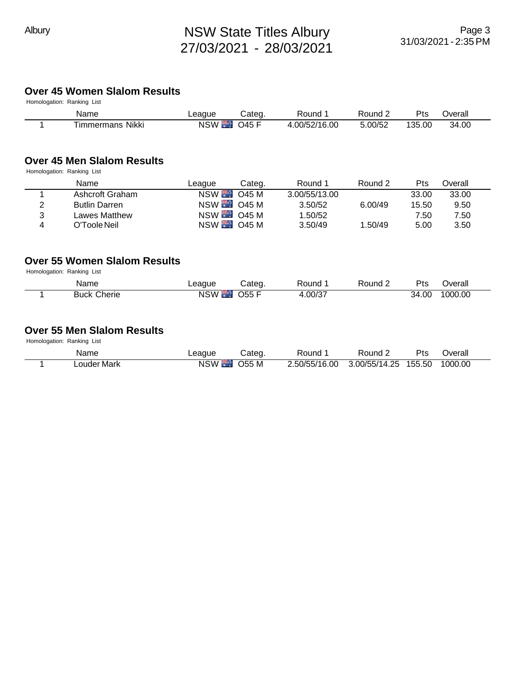# Albury **NSW State Titles Albury** 27/03/2021 - 28/03/2021

#### **Over 45 Women Slalom Results**

| Homologation: Ranking List |        |        |         |
|----------------------------|--------|--------|---------|
| Name                       | League | Categ. | Round 1 |

| Name               | League          | Cateq.         | Round        | Round 2 | $P_{\text{ts}}$ | Overall |  |
|--------------------|-----------------|----------------|--------------|---------|-----------------|---------|--|
| Nikki<br>Immermans | <b>NSW</b><br>ю | $\bigcap$ 45 F | .00/52/16.00 | 5.00/52 | 135.00          | 34.00   |  |

#### **Over 45 Men Slalom Results**

Homologation: Ranking List

| Pts<br>Round 2<br>Categ.<br>Round 1<br>Name<br>League                         | ่ ⊃verall |
|-------------------------------------------------------------------------------|-----------|
| $NSW$ $O45M$<br>3.00/55/13.00<br>33.00<br>Ashcroft Graham                     | 33.00     |
| NSW 045 M<br>6.00/49<br>3.50/52<br>2<br><b>Butlin Darren</b><br>15.50         | 9.50      |
| NSW 045 M<br>1.50/52<br>3<br>Lawes Matthew<br>7.50                            | 7.50      |
| $NSW$ $\blacksquare$ 045 M<br>3.50/49<br>1.50/49<br>O'Toole Neil<br>5.00<br>4 | 3.50      |

#### **Over 55 Women Slalom Results**

Homologation: Ranking List

| Name                  | ∟eaque           | Cated.     | Round  | Round≀ | $P_{\text{ts}}$ | <b>T</b> |
|-----------------------|------------------|------------|--------|--------|-----------------|----------|
| Cherie<br><b>Buck</b> | <b>NSW</b><br>п. | ነፍፍ<br>ノソソ | .00/37 |        | 34.00           | 1000.00  |

#### **Over 55 Men Slalom Results**

Homologation: Ranking List

| Name                    | ∟eaque          | Categ.       | Round         | Round '              | Pts | ⊃verall |
|-------------------------|-----------------|--------------|---------------|----------------------|-----|---------|
| <sub>-</sub> ouder Mark | NSW <b>Fig.</b> | <b>O55 M</b> | 2.50/55/16.00 | 3.00/55/14.25 155.50 |     | 1000.00 |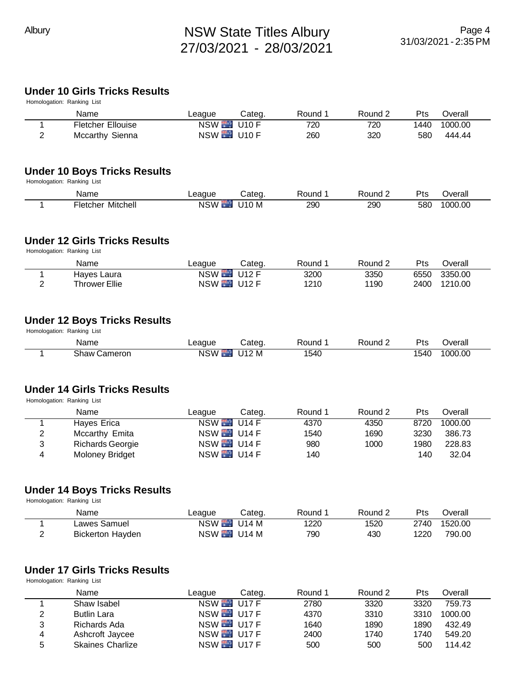# **Under 10 Girls Tricks Results**

|                              | UNUEL TU UIHS THUKS RESUITS<br>Homologation: Ranking List                  |                                      |              |              |              |              |                   |
|------------------------------|----------------------------------------------------------------------------|--------------------------------------|--------------|--------------|--------------|--------------|-------------------|
|                              | Name                                                                       | League                               | Categ.       | Round 1      | Round 2      | Pts          | Overall           |
| 1                            | <b>Fletcher Ellouise</b>                                                   | NSW <sup>1</sup>                     | <b>U10 F</b> | 720          | 720          | 1440         | 1000.00           |
| $\overline{2}$               | Mccarthy Sienna                                                            | <b>NSW U10 F</b>                     |              | 260          | 320          | 580          | 444.44            |
|                              |                                                                            |                                      |              |              |              |              |                   |
|                              | <b>Under 10 Boys Tricks Results</b>                                        |                                      |              |              |              |              |                   |
|                              | Homologation: Ranking List                                                 |                                      |              |              |              |              |                   |
|                              | Name                                                                       | League                               | Categ.       | Round 1      | Round 2      | Pts          | Overall           |
| 1                            | <b>Fletcher Mitchell</b>                                                   | <b>NSW</b>                           | <b>U10 M</b> | 290          | 290          | 580          | 1000.00           |
|                              | <b>Under 12 Girls Tricks Results</b><br>Homologation: Ranking List         |                                      |              |              |              |              |                   |
|                              | Name                                                                       | League                               | Categ.       | Round 1      | Round 2      | Pts          | Overall           |
| 1                            | Hayes Laura                                                                | NSW <sup>1</sup>                     | <b>U12 F</b> | 3200         | 3350         | 6550         | 3350.00           |
| $\overline{2}$               | <b>Thrower Ellie</b>                                                       | <b>NSW U12 F</b>                     |              | 1210         | 1190         | 2400         | 1210.00           |
|                              | <b>Under 12 Boys Tricks Results</b><br>Homologation: Ranking List          |                                      |              |              |              |              |                   |
|                              | Name                                                                       | League                               | Categ.       | Round 1      | Round 2      | Pts          | Overall           |
| 1                            | <b>Shaw Cameron</b>                                                        | NSW <sup>1</sup>                     | U12 M        | 1540         |              | 1540         | 1000.00           |
|                              | <b>Under 14 Girls Tricks Results</b><br>Homologation: Ranking List<br>Name | League                               | Categ.       | Round 1      | Round 2      | Pts          | Overall           |
| 1                            | <b>Hayes Erica</b>                                                         | <b>NSW</b>                           | U14F         | 4370         | 4350         | 8720         | 1000.00           |
| $\overline{2}$               | Mccarthy Emita                                                             | NSW <sub>1</sub>                     | <b>U14 F</b> | 1540         | 1690         | 3230         | 386.73            |
| 3                            | <b>Richards Georgie</b>                                                    | NSW <sub>1</sub>                     | <b>U14 F</b> | 980          | 1000         | 1980         | 228.83            |
| 4                            | Moloney Bridget                                                            | NSW U14 F                            |              | 140          |              | 140          | 32.04             |
|                              | <b>Under 14 Boys Tricks Results</b>                                        |                                      |              |              |              |              |                   |
|                              | Homologation: Ranking List                                                 |                                      |              |              |              |              |                   |
|                              | Name                                                                       | League                               | Categ.       | Round 1      | Round 2      | Pts          | Overall           |
| 1                            | Lawes Samuel                                                               | <b>NSW</b>                           | U14 M        | 1220         | 1520         | 2740         | 1520.00           |
| $\overline{2}$               | <b>Bickerton Hayden</b>                                                    | <b>NSW</b> U14 M                     |              | 790          | 430          | 1220         | 790.00            |
|                              | <b>Under 17 Girls Tricks Results</b>                                       |                                      |              |              |              |              |                   |
|                              | Homologation: Ranking List                                                 |                                      |              |              |              |              |                   |
|                              | Name                                                                       | League                               | Categ.       | Round 1      | Round 2      | Pts          | Overall           |
| 1                            | Shaw Isabel                                                                | NSW <sup>1</sup>                     | <b>U17 F</b> | 2780         | 3320         | 3320         | 759.73            |
| $\overline{\mathbf{c}}$<br>3 | <b>Butlin Lara</b><br>Richards Ada                                         | <b>NSW U17 F</b><br><b>NSW U17 F</b> |              | 4370<br>1640 | 3310<br>1890 | 3310<br>1890 | 1000.00<br>432.49 |

4 Ashcroft Jaycee NSW U17 F 2400 1740 1740 549.20

5 Skaines Charlize NSW U17 F 500 500 500 114.42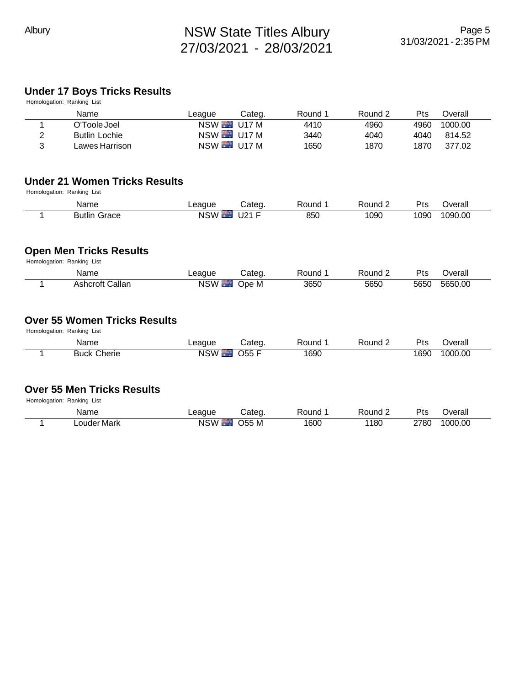# **Under 17 Boys Tricks Results**

|   | UNUGI II DUYS INGAS KESUKS<br>Homologation: Ranking List           |                  |              |         |         |            |         |
|---|--------------------------------------------------------------------|------------------|--------------|---------|---------|------------|---------|
|   | Name                                                               | League           | Categ.       | Round 1 | Round 2 | Pts        | Overall |
| 1 | O'Toole Joel                                                       | NSW <sup>1</sup> | <b>U17 M</b> | 4410    | 4960    | 4960       | 1000.00 |
| 2 | <b>Butlin Lochie</b>                                               | <b>NSW</b> U17 M |              | 3440    | 4040    | 4040       | 814.52  |
| 3 | Lawes Harrison                                                     | <b>NSW U17 M</b> |              | 1650    | 1870    | 1870       | 377.02  |
|   | <b>Under 21 Women Tricks Results</b><br>Homologation: Ranking List |                  |              |         |         |            |         |
|   | Name                                                               | League           | Categ.       | Round 1 | Round 2 | Pts        | Overall |
| 1 | <b>Butlin Grace</b>                                                | NSW <sup>1</sup> | <b>U21 F</b> | 850     | 1090    | 1090       | 1090.00 |
|   | <b>Open Men Tricks Results</b><br>Homologation: Ranking List       |                  |              |         |         |            |         |
|   | Name                                                               | League           | Categ.       | Round 1 | Round 2 | <b>Pts</b> | Overall |
| 1 | <b>Ashcroft Callan</b>                                             | <b>NSW</b>       | Ope M        | 3650    | 5650    | 5650       | 5650.00 |
|   | <b>Over 55 Women Tricks Results</b><br>Homologation: Ranking List  |                  |              |         |         |            |         |
|   | Name                                                               | League           | Categ.       | Round 1 | Round 2 | Pts        | Overall |
| 1 | <b>Buck Cherie</b>                                                 | NSW <sup>1</sup> | <b>O55 F</b> | 1690    |         | 1690       | 1000.00 |
|   | <b>Over 55 Men Tricks Results</b><br>Homologation: Ranking List    |                  |              |         |         |            |         |
|   | Name                                                               | League           | Categ.       | Round 1 | Round 2 | Pts        | Overall |
| 1 | Louder Mark                                                        | NSW <sup>1</sup> | O55 M        | 1600    | 1180    | 2780       | 1000.00 |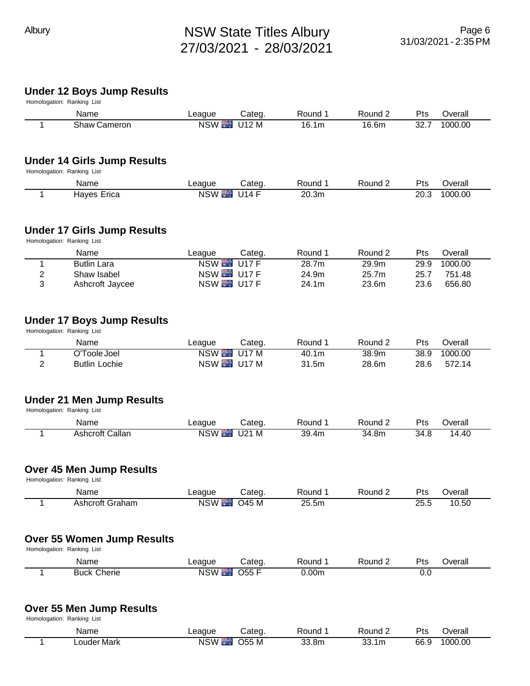# Albury **NSW State Titles Albury** 27/03/2021 - 28/03/2021

# **Under 12 Boys Jump Results**

|                | Under 12 Boys Jump Results<br>Homologation: Ranking List         |                  |              |                   |         |            |         |
|----------------|------------------------------------------------------------------|------------------|--------------|-------------------|---------|------------|---------|
|                | Name                                                             | League           | Categ.       | Round 1           | Round 2 | Pts        | Overall |
| 1              | Shaw Cameron                                                     | NSW <sup>1</sup> | U12 M        | 16.1m             | 16.6m   | 32.7       | 1000.00 |
|                | <b>Under 14 Girls Jump Results</b><br>Homologation: Ranking List |                  |              |                   |         |            |         |
|                | Name                                                             | League           | Categ.       | Round 1           | Round 2 | Pts        | Overall |
| 1              | <b>Hayes Erica</b>                                               | NSW <sup>1</sup> | <b>U14 F</b> | 20.3m             |         | 20.3       | 1000.00 |
|                | <b>Under 17 Girls Jump Results</b><br>Homologation: Ranking List |                  |              |                   |         |            |         |
|                | Name                                                             | League           | Categ.       | Round 1           | Round 2 | Pts        | Overall |
| 1              | <b>Butlin Lara</b>                                               | <b>NSW</b>       | <b>U17 F</b> | 28.7m             | 29.9m   | 29.9       | 1000.00 |
| $\overline{2}$ | Shaw Isabel                                                      | <b>NSW U17 F</b> |              | 24.9m             | 25.7m   | 25.7       | 751.48  |
| 3              | Ashcroft Jaycee                                                  | NSW U17 F        |              | 24.1m             | 23.6m   | 23.6       | 656.80  |
|                | <b>Under 17 Boys Jump Results</b><br>Homologation: Ranking List  |                  |              |                   |         |            |         |
|                | Name                                                             | League           | Categ.       | Round 1           | Round 2 | Pts        | Overall |
| 1              | O'Toole Joel                                                     | NSW <sup>1</sup> | UTM          | 40.1 <sub>m</sub> | 38.9m   | 38.9       | 1000.00 |
| $\overline{2}$ | <b>Butlin Lochie</b>                                             | <b>NSW U17 M</b> |              | 31.5m             | 28.6m   | 28.6       | 572.14  |
|                | <b>Under 21 Men Jump Results</b><br>Homologation: Ranking List   |                  |              |                   |         |            |         |
|                | Name                                                             | League           | Categ.       | Round 1           | Round 2 | Pts        | Overall |
| 1              | <b>Ashcroft Callan</b>                                           | <b>NSW</b>       | $U21$ M      | 39.4m             | 34.8m   | 34.8       | 14.40   |
|                | <b>Over 45 Men Jump Results</b><br>Homologation: Ranking List    |                  |              |                   |         |            |         |
|                | Name                                                             | League           | Categ.       | Round 1           | Round 2 | Pts        | Overall |
| 1              | <b>Ashcroft Graham</b>                                           | <b>NSW</b>       | <b>O45 M</b> | 25.5m             |         | 25.5       | 10.50   |
|                | <b>Over 55 Women Jump Results</b><br>Homologation: Ranking List  |                  |              |                   |         |            |         |
|                | Name                                                             | League           | Categ.       | Round 1           | Round 2 | Pts        | Overall |
| 1              | <b>Buck Cherie</b>                                               | <b>NSW</b>       | <b>O55 F</b> | 0.00 <sub>m</sub> |         | 0.0        |         |
|                | <b>Over 55 Men Jump Results</b><br>Homologation: Ranking List    |                  |              |                   |         |            |         |
|                | Name                                                             | League           | Categ.       | Round 1           | Round 2 | <b>Pts</b> | Overall |

1 Louder Mark NSW 1 055 M 33.8m 33.1m 66.9 1000.00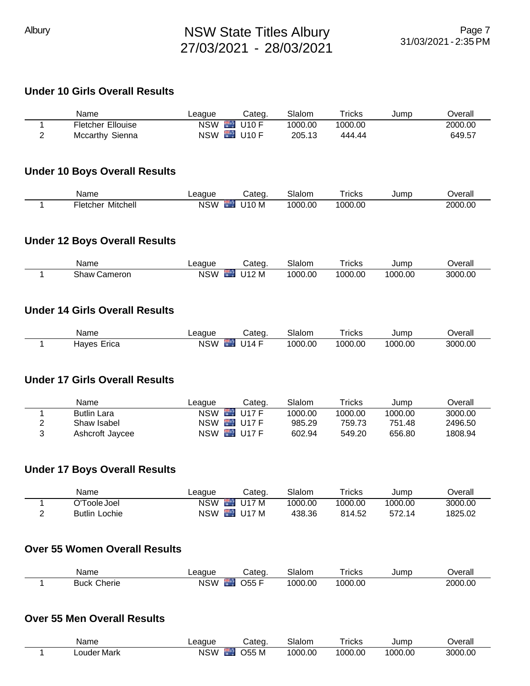### **Under 10 Girls Overall Results**

| Name                     | League | Categ.    | Slalom  | $\tau$ ricks | Jump | <b>Dverall</b> |
|--------------------------|--------|-----------|---------|--------------|------|----------------|
| <b>Fletcher Ellouise</b> |        | NSW U10 F | 1000.00 | 1000.00      |      | 2000.00        |
| Mccarthy Sienna          |        | NSW U10 F | 205.13  | 444.44       |      | 649.57         |

#### **Under 10 Boys Overall Results**

| Name                        | eague                    | `ateo | $\sim$<br>ılon<br>$\sim$ | ⊺ricks      | Jump | <b>Dverall</b> |
|-----------------------------|--------------------------|-------|--------------------------|-------------|------|----------------|
| --<br>Mitchell<br>r letcher | <b>NSW</b><br>ь.<br>____ | 110 M | 1000.00                  | .00<br>1000 |      | 2000<br>00.ر   |

#### **Under 12 Boys Overall Results**

| Name            | .eague     | Categ.          | Slalom  | <b>ricks</b> | Jump    | J∨erall |
|-----------------|------------|-----------------|---------|--------------|---------|---------|
| Shaw<br>Cameron | <b>NSW</b> | U12 M<br>$\sim$ | 1000.00 | 1000.00      | 1000.00 | 3000.00 |

#### **Under 14 Girls Overall Results**

| Name           | ∟eaque     | $\mathsf{\dot{a}}$ ted    | Slalom  | Tricks  | Jump    | <b>Dverall</b> |
|----------------|------------|---------------------------|---------|---------|---------|----------------|
| Erica<br>Haves | <b>NSW</b> | .14F<br>l 14<br><b>In</b> | 1000.00 | 1000.00 | 1000.00 | 3000.00        |

## **Under 17 Girls Overall Results**

| Name               | League     | Categ.               | Slalom  | $\tau$ ricks | Jump    | ⊃verall |
|--------------------|------------|----------------------|---------|--------------|---------|---------|
| <b>Butlin Lara</b> | <b>NSW</b> | <b>■ U17 F</b>       | 1000.00 | 1000.00      | 1000.00 | 3000.00 |
| Shaw Isabel        | <b>NSW</b> | U17F                 | 985.29  | 759.73       | 751.48  | 2496.50 |
| Ashcroft Jaycee    | <b>NSW</b> | $\blacksquare$ U17 F | 602.94  | 549.20       | 656.80  | 1808.94 |

#### **Under 17 Boys Overall Results**

| Name                 | League     | Cateq.                   | Slalom  | $\tau$ ricks | Jump    | ⊃verall |
|----------------------|------------|--------------------------|---------|--------------|---------|---------|
| O'Toole Joel         | <b>NSW</b> | U17 M<br><b>Contract</b> | 1000.00 | 1000.00      | 1000.00 | 3000.00 |
| <b>Butlin Lochie</b> | <b>NSW</b> | and a<br>U17 M           | 438.36  | 814.52       | 572.14  | 1825.02 |

## **Over 55 Women Overall Results**

| Name              | eague      | ;ateo                        | Slalom    | ricks       | Jumr | <b>Jverall</b> |
|-------------------|------------|------------------------------|-----------|-------------|------|----------------|
| ``herie ∶<br>Buck | เรพ<br>N.S | <b>STATE</b><br>$- - -$<br>ᅚ | നറ<br>.00 | 1000<br>.OC |      | 2000.00        |

#### **Over 55 Men Overall Results**

| Name        | _eague     | ;ateq | Slalom  | <b>TICKS</b> | Jump    | Overall |
|-------------|------------|-------|---------|--------------|---------|---------|
| Louder Mark | <b>NSW</b> | ገ55 M | 1000.00 | 1000.00      | 1000.00 | 3000.00 |